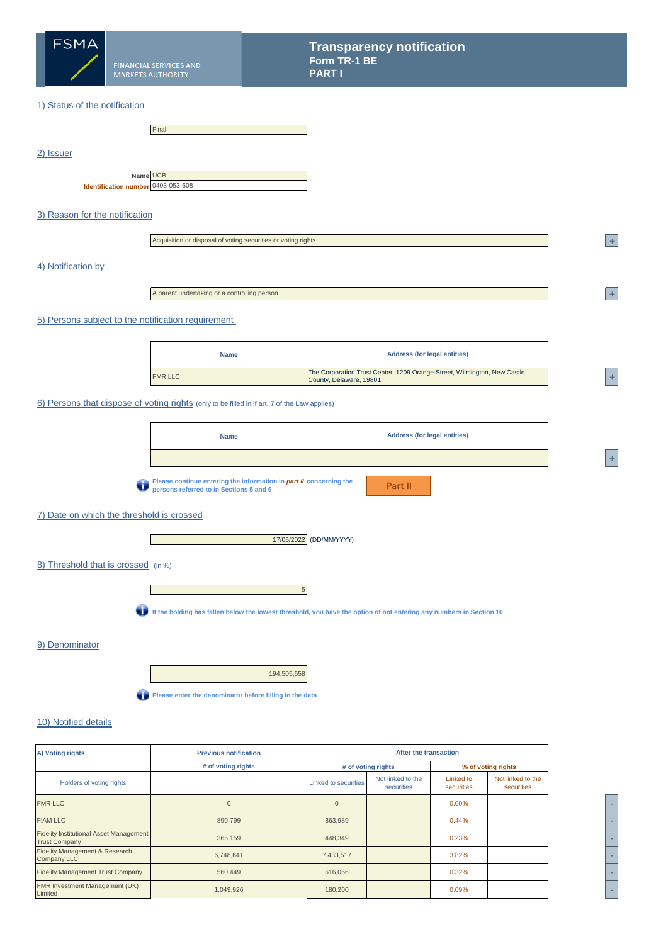

## 1) Status of the notification

|                                                | Final |
|------------------------------------------------|-------|
|                                                |       |
|                                                |       |
|                                                |       |
| Name UCB<br>Identification number 0403-053-608 |       |

# 3) Reason for the notification

| Acquisition or disposal of voting securities or voting rights |  |  |
|---------------------------------------------------------------|--|--|
|---------------------------------------------------------------|--|--|

#### 4) Notification by

2) Issuer

A parent undertaking or a controlling person

#### 5) Persons subject to the notification requirement

| <b>Name</b>    | <b>Address (for legal entities)</b>                                                                  |  |
|----------------|------------------------------------------------------------------------------------------------------|--|
| <b>FMR LLC</b> | The Corporation Trust Center, 1209 Orange Street, Wilmington, New Castle<br>County, Delaware, 19801. |  |

#### 6) Persons that dispose of voting rights (only to be filled in if art. 7 of the Law applies)

| <b>Name</b>                                                                       | <b>Address (for legal entities)</b> |
|-----------------------------------------------------------------------------------|-------------------------------------|
|                                                                                   |                                     |
| $\blacksquare$ Disasa santinya antaring the information in nort il conserving the |                                     |

**Please continue entering the information in** *part II* **concerning the persons referred to in Sections 5 and 6**

**Part II**

# 7) Date on which the threshold is crossed

**I** and



## 8) Threshold that is crossed (in %)



**If the holding has fallen below the lowest threshold, you have the option of not entering any numbers in Section 10**

#### 9) Denominator

194,505,658

**Please enter the denominator before filling in the data** 

# 10) Notified details

| A) Voting rights                                                       | <b>Previous notification</b> |                             | After the transaction           |                         |                                 |  |  |
|------------------------------------------------------------------------|------------------------------|-----------------------------|---------------------------------|-------------------------|---------------------------------|--|--|
|                                                                        | # of voting rights           |                             | # of voting rights              |                         | % of voting rights              |  |  |
| Holders of voting rights                                               |                              | <b>Linked to securities</b> | Not linked to the<br>securities | Linked to<br>securities | Not linked to the<br>securities |  |  |
| <b>FMR LLC</b>                                                         | $\overline{0}$               | $\mathbf{0}$                |                                 | $0.00\%$                |                                 |  |  |
| <b>FIAM LLC</b>                                                        | 890,799                      | 863,989                     |                                 | 0.44%                   |                                 |  |  |
| <b>Fidelity Institutional Asset Management</b><br><b>Trust Company</b> | 365,159                      | 448,349                     |                                 | 0.23%                   |                                 |  |  |
| Fidelity Management & Research<br><b>Company LLC</b>                   | 6,748,641                    | 7,433,517                   |                                 | 3.82%                   |                                 |  |  |
| <b>Fidelity Management Trust Company</b>                               | 560,449                      | 616,056                     |                                 | 0.32%                   |                                 |  |  |
| <b>FMR Investment Management (UK)</b><br>Limited                       | 1,049,926                    | 180,200                     |                                 | 0.09%                   |                                 |  |  |



**<sup>2</sup> +** 

**<sup>2</sup> +** 

**<sup>A</sup> +**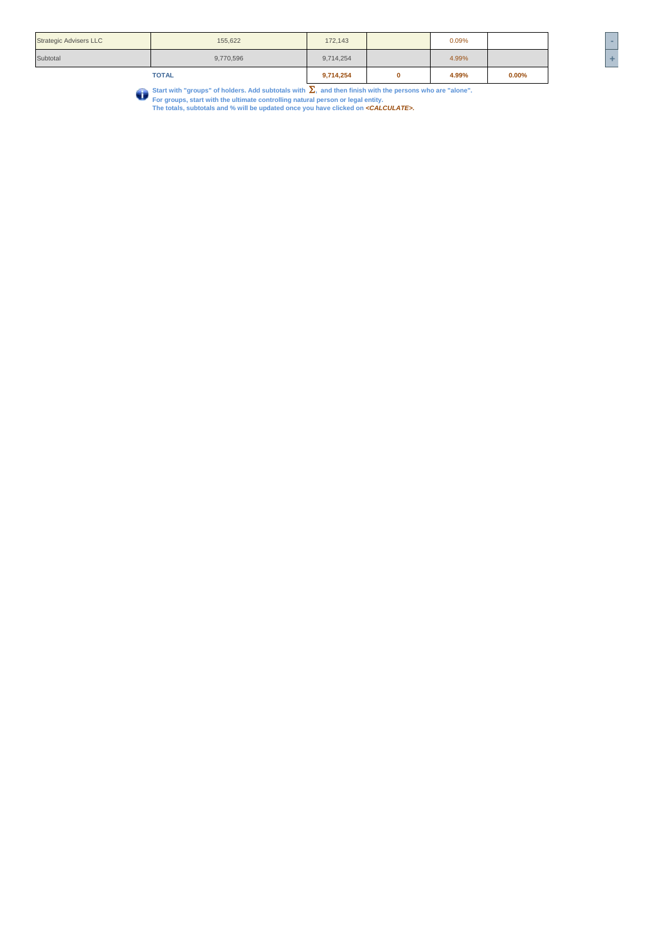|                               | <b>TOTAL</b> | 9,714,254 | 4.99% | 0.00% | __ |
|-------------------------------|--------------|-----------|-------|-------|----|
| Subtotal                      | 9,770,596    | 9,714,254 | 4.99% |       | ٠  |
| <b>Strategic Advisers LLC</b> | 155,622      | 172,143   | 0.09% |       | -  |

Start with "groups" of holders. Add subtotals with  $\sum$ , and then finish with the persons who are "alone".<br>For groups, start with the ultimate controlling natural person or legal entity.<br>The totals, subtotals and % will b